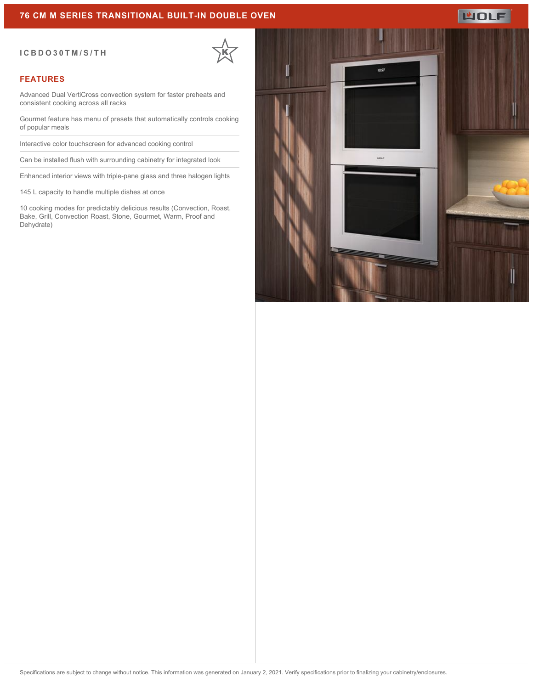#### **76 CM M SERIES TRANSITIONAL BUILT-IN DOUBLE OVEN**

#### **ICBDO30TM/S/TH**

### **FEATURES**

Advanced Dual VertiCross convection system for faster preheats and consistent cooking across all racks

Gourmet feature has menu of presets that automatically controls cooking of popular meals

Interactive color touchscreen for advanced cooking control

Can be installed flush with surrounding cabinetry for integrated look

Enhanced interior views with triple-pane glass and three halogen lights

145 L capacity to handle multiple dishes at once

10 cooking modes for predictably delicious results (Convection, Roast, Bake, Grill, Convection Roast, Stone, Gourmet, Warm, Proof and Dehydrate)